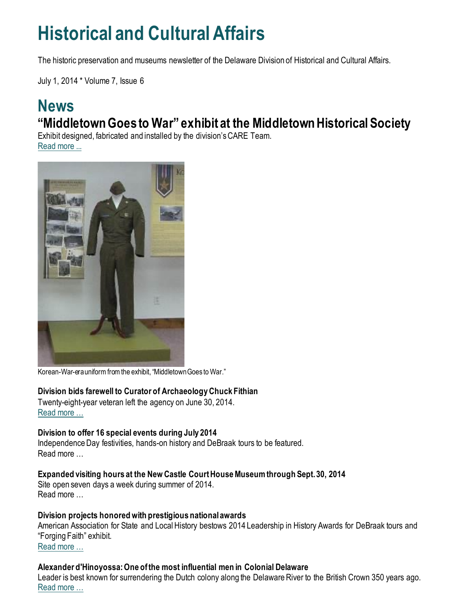## **Historical and Cultural Affairs**

The historic preservation and museums newsletter of the Delaware Division of Historical and Cultural Affairs.

July 1, 2014 \* Volume 7, Issue 6

## **News "Middletown Goes to War" exhibit at the Middletown Historical Society**

Exhibit designed, fabricated and installed by the division's CARE Team. [Read more ...](https://history.delaware.gov/2014/07/01/middletown-goes-to-war-exhibit-at-the-middletown-historical-society/)



Korean-War-era uniform from the exhibit, "Middletown Goes to War."

#### **Division bids farewell to Curator of Archaeology Chuck Fithian**

Twenty-eight-year veteran left the agency on June 30, 2014. [Read more …](http://history.blogs.delaware.gov/2014/07/01/division-bids-farewell-to-curator-of-archaeology-chuck-fithian/)

#### **Division to offer 16 special events during July 2014**

Independence Day festivities, hands-on history and DeBraak tours to be featured. Read more …

#### **Expanded visiting hours at the New Castle Court House Museum through Sept. 30, 2014**

Site open seven days a week during summer of 2014. Read more …

#### **Division projects honored with prestigious national awards**

American Association for State and Local History bestows 2014 Leadership in History Awards for DeBraak tours and "Forging Faith" exhibit. [Read more …](https://history.delaware.gov/2014/06/26/division-projects-honored-with-prestigious-national-awards/)

#### **Alexander d'Hinoyossa: One of the most influential men in Colonial Delaware**

Leader is best known for surrendering the Dutch colony along the Delaware River to the British Crown 350 years ago. [Read more …](https://history.delaware.gov/2014/06/20/alexander-dhinoyossa-one-of-the-most-influential-men-in-colonial-delaware/)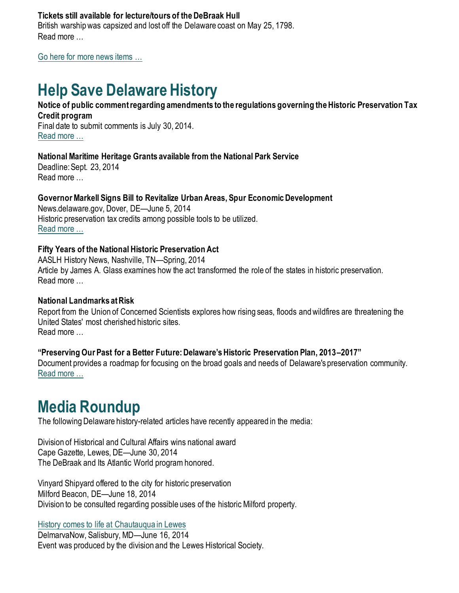#### **Tickets still available for lecture/tours of the DeBraak Hull**

British warship was capsized and lost off the Delaware coast on May 25, 1798. Read more …

[Go here for more news items …](http://history.blogs.delaware.gov/)

## **Help Save Delaware History**

#### **Notice of public comment regarding amendments to the regulations governing the Historic Preservation Tax Credit program**

Final date to submit comments is July 30, 2014. [Read more …](https://history.delaware.gov/2014/07/01/notice-of-public-comment-regarding-amendments-to-the-regulations-governing-the-historic-preservation-tax-credit-program/)

#### **National Maritime Heritage Grants available from the National Park Service**

Deadline: Sept. 23, 2014 Read more …

#### **Governor Markell Signs Bill to Revitalize Urban Areas, Spur Economic Development**

News.delaware.gov, Dover, DE—June 5, 2014 Historic preservation tax credits among possible tools to be utilized. [Read more …](https://news.delaware.gov/2014/06/05/governor-markell-signs-bill-to-revitalize-urban-areas-spur-economic-development/)

#### **Fifty Years of the National Historic Preservation Act**

AASLH History News, Nashville, TN—Spring, 2014 Article by James A. Glass examines how the act transformed the role of the states in historic preservation. Read more …

#### **National Landmarks at Risk**

Report from the Union of Concerned Scientists explores how rising seas, floods and wildfires are threatening the United States' most cherished historic sites. Read more …

#### **"Preserving Our Past for a Better Future: Delaware's Historic Preservation Plan, 2013–2017"**

Document provides a roadmap for focusing on the broad goals and needs of Delaware's preservation community. [Read more …](https://history.delaware.gov/wp-content/uploads/sites/179/2019/02/Preservation-Plan-2013-2017.pdf)

## **Media Roundup**

The following Delaware history-related articles have recently appeared in the media:

Division of Historical and Cultural Affairs wins national award Cape Gazette, Lewes, DE—June 30, 2014 The DeBraak and Its Atlantic World program honored.

Vinyard Shipyard offered to the city for historic preservation Milford Beacon, DE—June 18, 2014 Division to be consulted regarding possible uses of the historic Milford property.

[History comes to life at Chautauqua in Lewes](http://www.delmarvanow.com/story/news/local/delaware/2014/06/16/lewes-chautauqua-african-american/10578611/)

DelmarvaNow, Salisbury, MD—June 16, 2014 Event was produced by the division and the Lewes Historical Society.